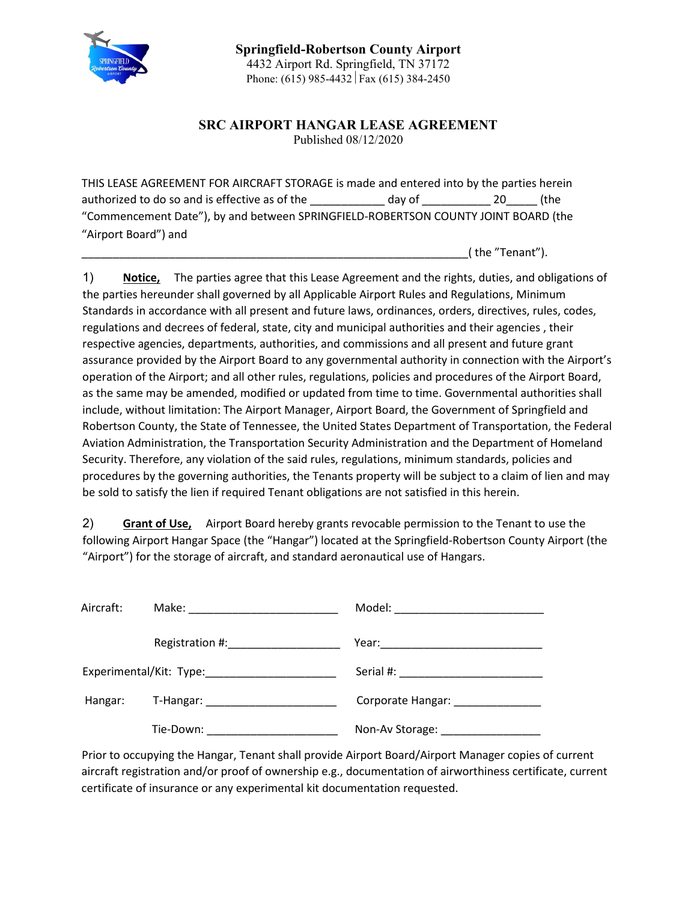

**SRC AIRPORT HANGAR LEASE AGREEMENT** Published 08/12/2020

THIS LEASE AGREEMENT FOR AIRCRAFT STORAGE is made and entered into by the parties herein authorized to do so and is effective as of the day of and  $\frac{1}{20}$  (the "Commencement Date"), by and between SPRINGFIELD-ROBERTSON COUNTY JOINT BOARD (the "Airport Board") and

\_\_\_\_\_\_\_\_\_\_\_\_\_\_\_\_\_\_\_\_\_\_\_\_\_\_\_\_\_\_\_\_\_\_\_\_\_\_\_\_\_\_\_\_\_\_\_\_\_\_\_\_\_\_\_\_\_\_\_\_\_\_( the "Tenant").

1) **Notice,** The parties agree that this Lease Agreement and the rights, duties, and obligations of the parties hereunder shall governed by all Applicable Airport Rules and Regulations, Minimum Standards in accordance with all present and future laws, ordinances, orders, directives, rules, codes, regulations and decrees of federal, state, city and municipal authorities and their agencies , their respective agencies, departments, authorities, and commissions and all present and future grant assurance provided by the Airport Board to any governmental authority in connection with the Airport's operation of the Airport; and all other rules, regulations, policies and procedures of the Airport Board, as the same may be amended, modified or updated from time to time. Governmental authorities shall include, without limitation: The Airport Manager, Airport Board, the Government of Springfield and Robertson County, the State of Tennessee, the United States Department of Transportation, the Federal Aviation Administration, the Transportation Security Administration and the Department of Homeland Security. Therefore, any violation of the said rules, regulations, minimum standards, policies and procedures by the governing authorities, the Tenants property will be subject to a claim of lien and may be sold to satisfy the lien if required Tenant obligations are not satisfied in this herein.

2) **Grant of Use,** Airport Board hereby grants revocable permission to the Tenant to use the following Airport Hangar Space (the "Hangar") located at the Springfield-Robertson County Airport (the "Airport") for the storage of aircraft, and standard aeronautical use of Hangars.

| Aircraft: |                                 | Model: ___________________________ |
|-----------|---------------------------------|------------------------------------|
|           | Registration #: Negistration #: |                                    |
|           |                                 |                                    |
| Hangar:   |                                 | Corporate Hangar: ______________   |
|           | Tie-Down:                       | Non-Av Storage: Non-Av Storage:    |

Prior to occupying the Hangar, Tenant shall provide Airport Board/Airport Manager copies of current aircraft registration and/or proof of ownership e.g., documentation of airworthiness certificate, current certificate of insurance or any experimental kit documentation requested.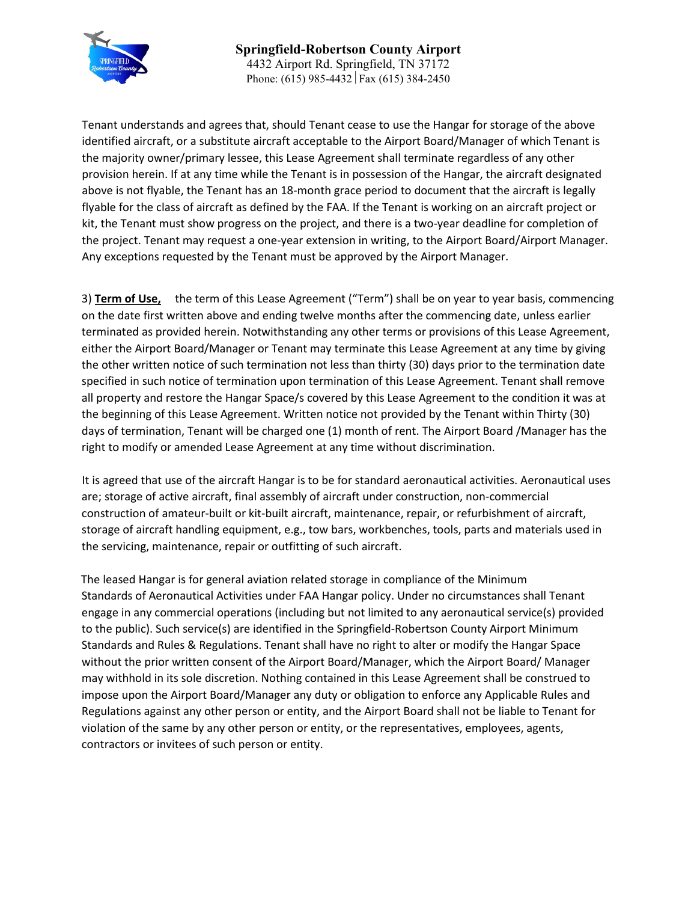

Tenant understands and agrees that, should Tenant cease to use the Hangar for storage of the above identified aircraft, or a substitute aircraft acceptable to the Airport Board/Manager of which Tenant is the majority owner/primary lessee, this Lease Agreement shall terminate regardless of any other provision herein. If at any time while the Tenant is in possession of the Hangar, the aircraft designated above is not flyable, the Tenant has an 18-month grace period to document that the aircraft is legally flyable for the class of aircraft as defined by the FAA. If the Tenant is working on an aircraft project or kit, the Tenant must show progress on the project, and there is a two-year deadline for completion of the project. Tenant may request a one-year extension in writing, to the Airport Board/Airport Manager. Any exceptions requested by the Tenant must be approved by the Airport Manager.

3) **Term of Use,** the term of this Lease Agreement ("Term") shall be on year to year basis, commencing on the date first written above and ending twelve months after the commencing date, unless earlier terminated as provided herein. Notwithstanding any other terms or provisions of this Lease Agreement, either the Airport Board/Manager or Tenant may terminate this Lease Agreement at any time by giving the other written notice of such termination not less than thirty (30) days prior to the termination date specified in such notice of termination upon termination of this Lease Agreement. Tenant shall remove all property and restore the Hangar Space/s covered by this Lease Agreement to the condition it was at the beginning of this Lease Agreement. Written notice not provided by the Tenant within Thirty (30) days of termination, Tenant will be charged one (1) month of rent. The Airport Board /Manager has the right to modify or amended Lease Agreement at any time without discrimination.

It is agreed that use of the aircraft Hangar is to be for standard aeronautical activities. Aeronautical uses are; storage of active aircraft, final assembly of aircraft under construction, non-commercial construction of amateur-built or kit-built aircraft, maintenance, repair, or refurbishment of aircraft, storage of aircraft handling equipment, e.g., tow bars, workbenches, tools, parts and materials used in the servicing, maintenance, repair or outfitting of such aircraft.

The leased Hangar is for general aviation related storage in compliance of the Minimum Standards of Aeronautical Activities under FAA Hangar policy. Under no circumstances shall Tenant engage in any commercial operations (including but not limited to any aeronautical service(s) provided to the public). Such service(s) are identified in the Springfield-Robertson County Airport Minimum Standards and Rules & Regulations. Tenant shall have no right to alter or modify the Hangar Space without the prior written consent of the Airport Board/Manager, which the Airport Board/ Manager may withhold in its sole discretion. Nothing contained in this Lease Agreement shall be construed to impose upon the Airport Board/Manager any duty or obligation to enforce any Applicable Rules and Regulations against any other person or entity, and the Airport Board shall not be liable to Tenant for violation of the same by any other person or entity, or the representatives, employees, agents, contractors or invitees of such person or entity.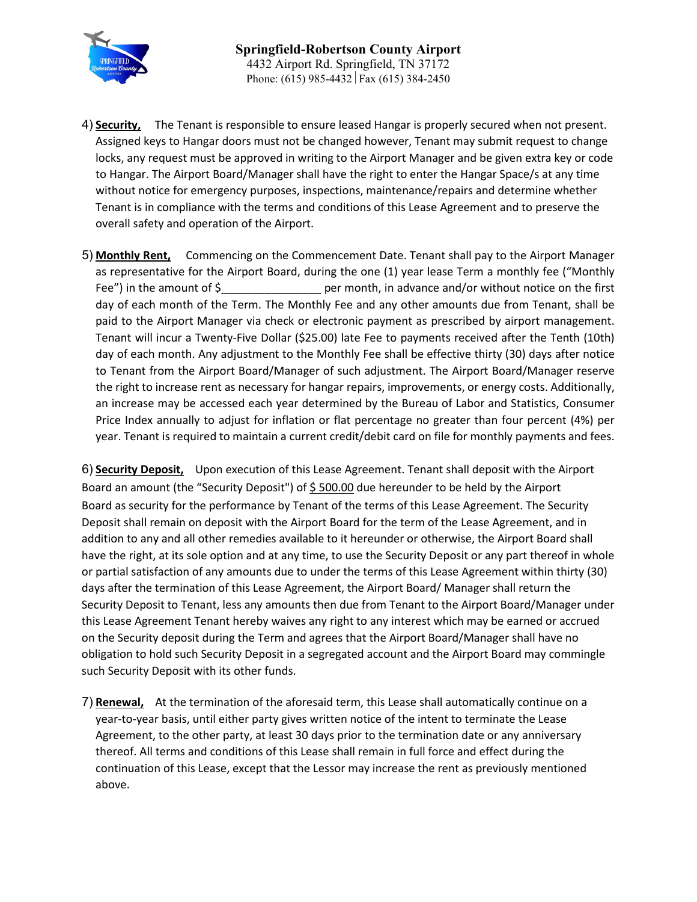

- 4) **Security,** The Tenant is responsible to ensure leased Hangar is properly secured when not present. Assigned keys to Hangar doors must not be changed however, Tenant may submit request to change locks, any request must be approved in writing to the Airport Manager and be given extra key or code to Hangar. The Airport Board/Manager shall have the right to enter the Hangar Space/s at any time without notice for emergency purposes, inspections, maintenance/repairs and determine whether Tenant is in compliance with the terms and conditions of this Lease Agreement and to preserve the overall safety and operation of the Airport.
- 5) **Monthly Rent,** Commencing on the Commencement Date. Tenant shall pay to the Airport Manager as representative for the Airport Board, during the one (1) year lease Term a monthly fee ("Monthly Fee") in the amount of \$\_\_\_\_\_\_\_\_\_\_\_\_\_\_\_\_ per month, in advance and/or without notice on the first day of each month of the Term. The Monthly Fee and any other amounts due from Tenant, shall be paid to the Airport Manager via check or electronic payment as prescribed by airport management. Tenant will incur a Twenty-Five Dollar (\$25.00) late Fee to payments received after the Tenth (10th) day of each month. Any adjustment to the Monthly Fee shall be effective thirty (30) days after notice to Tenant from the Airport Board/Manager of such adjustment. The Airport Board/Manager reserve the right to increase rent as necessary for hangar repairs, improvements, or energy costs. Additionally, an increase may be accessed each year determined by the Bureau of Labor and Statistics, Consumer Price Index annually to adjust for inflation or flat percentage no greater than four percent (4%) per year. Tenant is required to maintain a current credit/debit card on file for monthly payments and fees.

6) **Security Deposit,** Upon execution of this Lease Agreement. Tenant shall deposit with the Airport Board an amount (the "Security Deposit") of  $\frac{6}{5}$  500.00 due hereunder to be held by the Airport Board as security for the performance by Tenant of the terms of this Lease Agreement. The Security Deposit shall remain on deposit with the Airport Board for the term of the Lease Agreement, and in addition to any and all other remedies available to it hereunder or otherwise, the Airport Board shall have the right, at its sole option and at any time, to use the Security Deposit or any part thereof in whole or partial satisfaction of any amounts due to under the terms of this Lease Agreement within thirty (30) days after the termination of this Lease Agreement, the Airport Board/ Manager shall return the Security Deposit to Tenant, less any amounts then due from Tenant to the Airport Board/Manager under this Lease Agreement Tenant hereby waives any right to any interest which may be earned or accrued on the Security deposit during the Term and agrees that the Airport Board/Manager shall have no obligation to hold such Security Deposit in a segregated account and the Airport Board may commingle such Security Deposit with its other funds.

7) **Renewal,** At the termination of the aforesaid term, this Lease shall automatically continue on a year-to-year basis, until either party gives written notice of the intent to terminate the Lease Agreement, to the other party, at least 30 days prior to the termination date or any anniversary thereof. All terms and conditions of this Lease shall remain in full force and effect during the continuation of this Lease, except that the Lessor may increase the rent as previously mentioned above.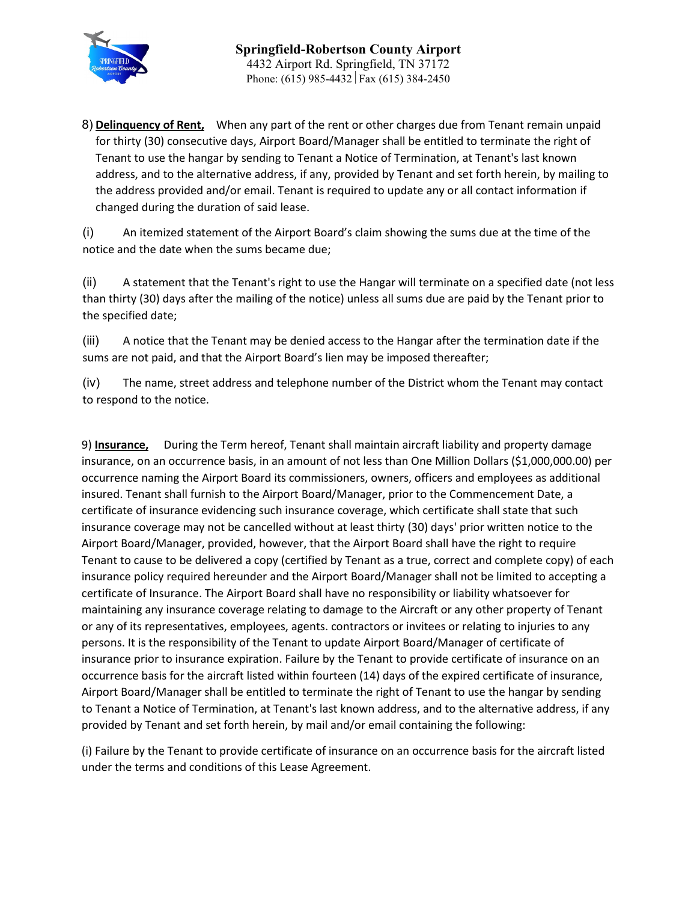

8) **Delinquency of Rent,** When any part of the rent or other charges due from Tenant remain unpaid for thirty (30) consecutive days, Airport Board/Manager shall be entitled to terminate the right of Tenant to use the hangar by sending to Tenant a Notice of Termination, at Tenant's last known address, and to the alternative address, if any, provided by Tenant and set forth herein, by mailing to the address provided and/or email. Tenant is required to update any or all contact information if changed during the duration of said lease.

(i) An itemized statement of the Airport Board's claim showing the sums due at the time of the notice and the date when the sums became due;

(ii) A statement that the Tenant's right to use the Hangar will terminate on a specified date (not less than thirty (30) days after the mailing of the notice) unless all sums due are paid by the Tenant prior to the specified date;

(iii) A notice that the Tenant may be denied access to the Hangar after the termination date if the sums are not paid, and that the Airport Board's lien may be imposed thereafter;

(iv) The name, street address and telephone number of the District whom the Tenant may contact to respond to the notice.

9) **Insurance,** During the Term hereof, Tenant shall maintain aircraft liability and property damage insurance, on an occurrence basis, in an amount of not less than One Million Dollars (\$1,000,000.00) per occurrence naming the Airport Board its commissioners, owners, officers and employees as additional insured. Tenant shall furnish to the Airport Board/Manager, prior to the Commencement Date, a certificate of insurance evidencing such insurance coverage, which certificate shall state that such insurance coverage may not be cancelled without at least thirty (30) days' prior written notice to the Airport Board/Manager, provided, however, that the Airport Board shall have the right to require Tenant to cause to be delivered a copy (certified by Tenant as a true, correct and complete copy) of each insurance policy required hereunder and the Airport Board/Manager shall not be limited to accepting a certificate of Insurance. The Airport Board shall have no responsibility or liability whatsoever for maintaining any insurance coverage relating to damage to the Aircraft or any other property of Tenant or any of its representatives, employees, agents. contractors or invitees or relating to injuries to any persons. It is the responsibility of the Tenant to update Airport Board/Manager of certificate of insurance prior to insurance expiration. Failure by the Tenant to provide certificate of insurance on an occurrence basis for the aircraft listed within fourteen (14) days of the expired certificate of insurance, Airport Board/Manager shall be entitled to terminate the right of Tenant to use the hangar by sending to Tenant a Notice of Termination, at Tenant's last known address, and to the alternative address, if any provided by Tenant and set forth herein, by mail and/or email containing the following:

(i) Failure by the Tenant to provide certificate of insurance on an occurrence basis for the aircraft listed under the terms and conditions of this Lease Agreement.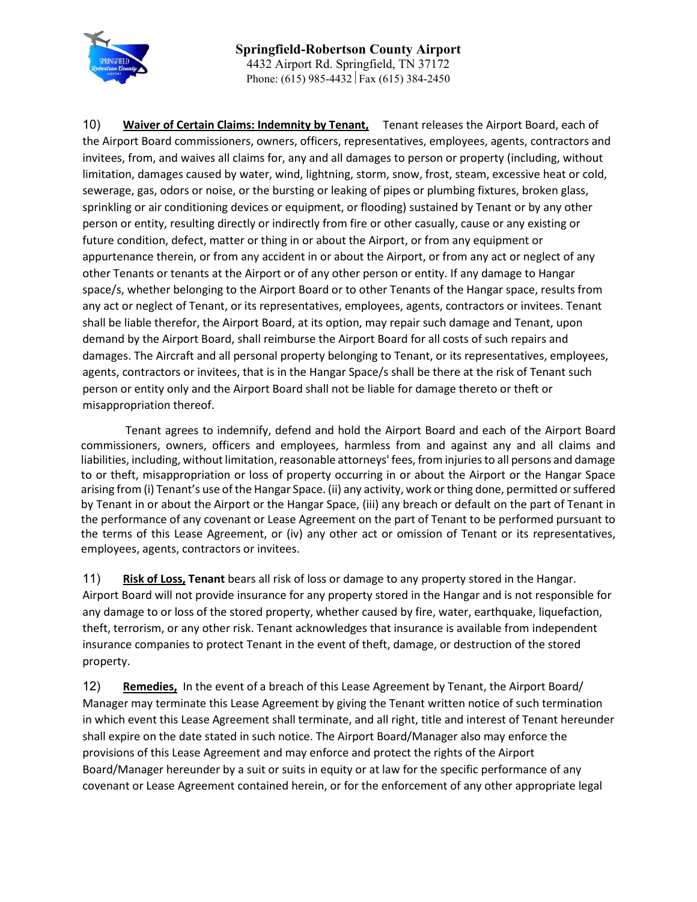

10) **Waiver of Certain Claims: Indemnity by Tenant,** Tenant releases the Airport Board, each of the Airport Board commissioners, owners, officers, representatives, employees, agents, contractors and invitees, from, and waives all claims for, any and all damages to person or property (including, without limitation, damages caused by water, wind, lightning, storm, snow, frost, steam, excessive heat or cold, sewerage, gas, odors or noise, or the bursting or leaking of pipes or plumbing fixtures, broken glass, sprinkling or air conditioning devices or equipment, or flooding) sustained by Tenant or by any other person or entity, resulting directly or indirectly from fire or other casually, cause or any existing or future condition, defect, matter or thing in or about the Airport, or from any equipment or appurtenance therein, or from any accident in or about the Airport, or from any act or neglect of any other Tenants or tenants at the Airport or of any other person or entity. If any damage to Hangar space/s, whether belonging to the Airport Board or to other Tenants of the Hangar space, results from any act or neglect of Tenant, or its representatives, employees, agents, contractors or invitees. Tenant shall be liable therefor, the Airport Board, at its option, may repair such damage and Tenant, upon demand by the Airport Board, shall reimburse the Airport Board for all costs of such repairs and damages. The Aircraft and all personal property belonging to Tenant, or its representatives, employees, agents, contractors or invitees, that is in the Hangar Space/s shall be there at the risk of Tenant such person or entity only and the Airport Board shall not be liable for damage thereto or theft or misappropriation thereof.

Tenant agrees to indemnify, defend and hold the Airport Board and each of the Airport Board commissioners, owners, officers and employees, harmless from and against any and all claims and liabilities, including, without limitation, reasonable attorneys' fees, from injuries to all persons and damage to or theft, misappropriation or loss of property occurring in or about the Airport or the Hangar Space arising from (i) Tenant's use of the Hangar Space. (ii) any activity, work or thing done, permitted or suffered by Tenant in or about the Airport or the Hangar Space, (iii) any breach or default on the part of Tenant in the performance of any covenant or Lease Agreement on the part of Tenant to be performed pursuant to the terms of this Lease Agreement, or (iv) any other act or omission of Tenant or its representatives, employees, agents, contractors or invitees.

11) **Risk of Loss, Tenant** bears all risk of loss or damage to any property stored in the Hangar. Airport Board will not provide insurance for any property stored in the Hangar and is not responsible for any damage to or loss of the stored property, whether caused by fire, water, earthquake, liquefaction, theft, terrorism, or any other risk. Tenant acknowledges that insurance is available from independent insurance companies to protect Tenant in the event of theft, damage, or destruction of the stored property.

12) **Remedies,** In the event of a breach of this Lease Agreement by Tenant, the Airport Board/ Manager may terminate this Lease Agreement by giving the Tenant written notice of such termination in which event this Lease Agreement shall terminate, and all right, title and interest of Tenant hereunder shall expire on the date stated in such notice. The Airport Board/Manager also may enforce the provisions of this Lease Agreement and may enforce and protect the rights of the Airport Board/Manager hereunder by a suit or suits in equity or at law for the specific performance of any covenant or Lease Agreement contained herein, or for the enforcement of any other appropriate legal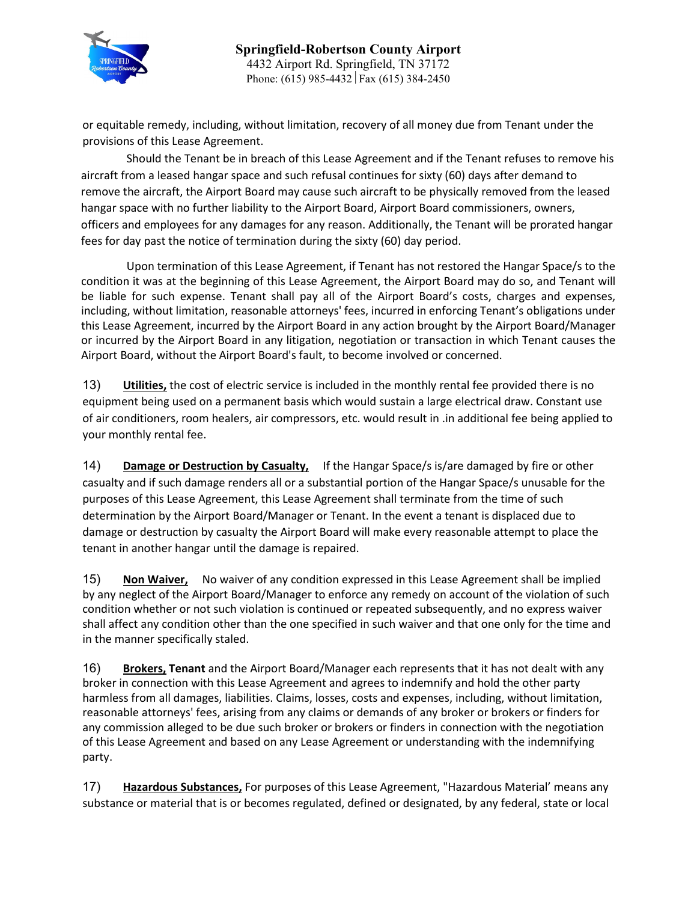

or equitable remedy, including, without limitation, recovery of all money due from Tenant under the provisions of this Lease Agreement.

Should the Tenant be in breach of this Lease Agreement and if the Tenant refuses to remove his aircraft from a leased hangar space and such refusal continues for sixty (60) days after demand to remove the aircraft, the Airport Board may cause such aircraft to be physically removed from the leased hangar space with no further liability to the Airport Board, Airport Board commissioners, owners, officers and employees for any damages for any reason. Additionally, the Tenant will be prorated hangar fees for day past the notice of termination during the sixty (60) day period.

Upon termination of this Lease Agreement, if Tenant has not restored the Hangar Space/s to the condition it was at the beginning of this Lease Agreement, the Airport Board may do so, and Tenant will be liable for such expense. Tenant shall pay all of the Airport Board's costs, charges and expenses, including, without limitation, reasonable attorneys' fees, incurred in enforcing Tenant's obligations under this Lease Agreement, incurred by the Airport Board in any action brought by the Airport Board/Manager or incurred by the Airport Board in any litigation, negotiation or transaction in which Tenant causes the Airport Board, without the Airport Board's fault, to become involved or concerned.

13) **Utilities,** the cost of electric service is included in the monthly rental fee provided there is no equipment being used on a permanent basis which would sustain a large electrical draw. Constant use of air conditioners, room healers, air compressors, etc. would result in .in additional fee being applied to your monthly rental fee.

14) **Damage or Destruction by Casualty,** If the Hangar Space/s is/are damaged by fire or other casualty and if such damage renders all or a substantial portion of the Hangar Space/s unusable for the purposes of this Lease Agreement, this Lease Agreement shall terminate from the time of such determination by the Airport Board/Manager or Tenant. In the event a tenant is displaced due to damage or destruction by casualty the Airport Board will make every reasonable attempt to place the tenant in another hangar until the damage is repaired.

15) **Non Waiver,** No waiver of any condition expressed in this Lease Agreement shall be implied by any neglect of the Airport Board/Manager to enforce any remedy on account of the violation of such condition whether or not such violation is continued or repeated subsequently, and no express waiver shall affect any condition other than the one specified in such waiver and that one only for the time and in the manner specifically staled.

16) **Brokers, Tenant** and the Airport Board/Manager each represents that it has not dealt with any broker in connection with this Lease Agreement and agrees to indemnify and hold the other party harmless from all damages, liabilities. Claims, losses, costs and expenses, including, without limitation, reasonable attorneys' fees, arising from any claims or demands of any broker or brokers or finders for any commission alleged to be due such broker or brokers or finders in connection with the negotiation of this Lease Agreement and based on any Lease Agreement or understanding with the indemnifying party.

17) **Hazardous Substances,** For purposes of this Lease Agreement, "Hazardous Material' means any substance or material that is or becomes regulated, defined or designated, by any federal, state or local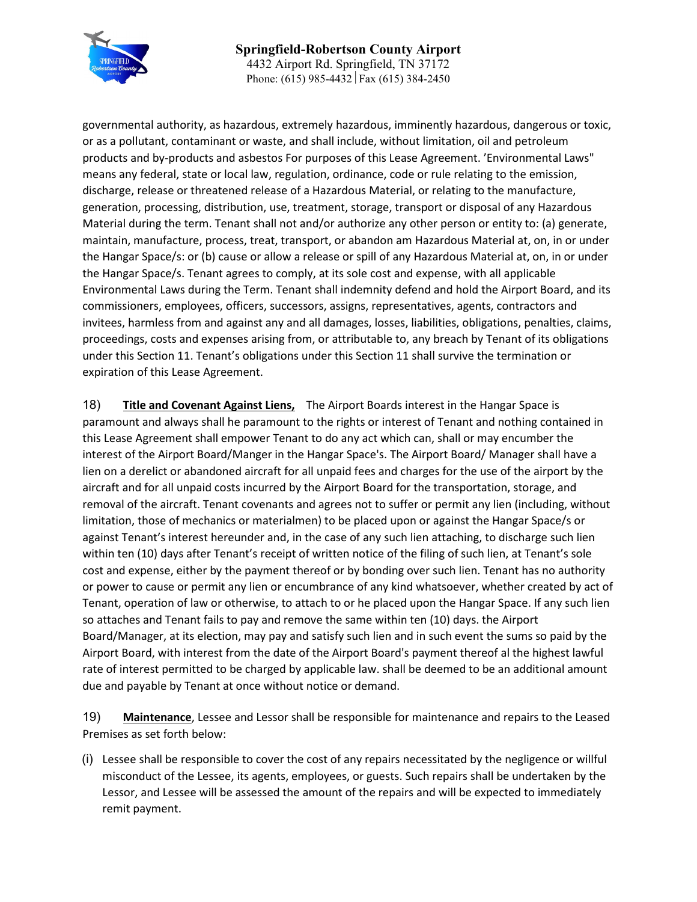

**Springfield-Robertson County Airport** 4432 Airport Rd. Springfield, TN 37172 Phone: (615) 985-4432 Fax (615) 384-2450

governmental authority, as hazardous, extremely hazardous, imminently hazardous, dangerous or toxic, or as a pollutant, contaminant or waste, and shall include, without limitation, oil and petroleum products and by-products and asbestos For purposes of this Lease Agreement. 'Environmental Laws" means any federal, state or local law, regulation, ordinance, code or rule relating to the emission, discharge, release or threatened release of a Hazardous Material, or relating to the manufacture, generation, processing, distribution, use, treatment, storage, transport or disposal of any Hazardous Material during the term. Tenant shall not and/or authorize any other person or entity to: (a) generate, maintain, manufacture, process, treat, transport, or abandon am Hazardous Material at, on, in or under the Hangar Space/s: or (b) cause or allow a release or spill of any Hazardous Material at, on, in or under the Hangar Space/s. Tenant agrees to comply, at its sole cost and expense, with all applicable Environmental Laws during the Term. Tenant shall indemnity defend and hold the Airport Board, and its commissioners, employees, officers, successors, assigns, representatives, agents, contractors and invitees, harmless from and against any and all damages, losses, liabilities, obligations, penalties, claims, proceedings, costs and expenses arising from, or attributable to, any breach by Tenant of its obligations under this Section 11. Tenant's obligations under this Section 11 shall survive the termination or expiration of this Lease Agreement.

18) **Title and Covenant Against Liens,** The Airport Boards interest in the Hangar Space is paramount and always shall he paramount to the rights or interest of Tenant and nothing contained in this Lease Agreement shall empower Tenant to do any act which can, shall or may encumber the interest of the Airport Board/Manger in the Hangar Space's. The Airport Board/ Manager shall have a lien on a derelict or abandoned aircraft for all unpaid fees and charges for the use of the airport by the aircraft and for all unpaid costs incurred by the Airport Board for the transportation, storage, and removal of the aircraft. Tenant covenants and agrees not to suffer or permit any lien (including, without limitation, those of mechanics or materialmen) to be placed upon or against the Hangar Space/s or against Tenant's interest hereunder and, in the case of any such lien attaching, to discharge such lien within ten (10) days after Tenant's receipt of written notice of the filing of such lien, at Tenant's sole cost and expense, either by the payment thereof or by bonding over such lien. Tenant has no authority or power to cause or permit any lien or encumbrance of any kind whatsoever, whether created by act of Tenant, operation of law or otherwise, to attach to or he placed upon the Hangar Space. If any such lien so attaches and Tenant fails to pay and remove the same within ten (10) days. the Airport Board/Manager, at its election, may pay and satisfy such lien and in such event the sums so paid by the Airport Board, with interest from the date of the Airport Board's payment thereof al the highest lawful rate of interest permitted to be charged by applicable law. shall be deemed to be an additional amount due and payable by Tenant at once without notice or demand.

19) **Maintenance**, Lessee and Lessor shall be responsible for maintenance and repairs to the Leased Premises as set forth below:

(i) Lessee shall be responsible to cover the cost of any repairs necessitated by the negligence or willful misconduct of the Lessee, its agents, employees, or guests. Such repairs shall be undertaken by the Lessor, and Lessee will be assessed the amount of the repairs and will be expected to immediately remit payment.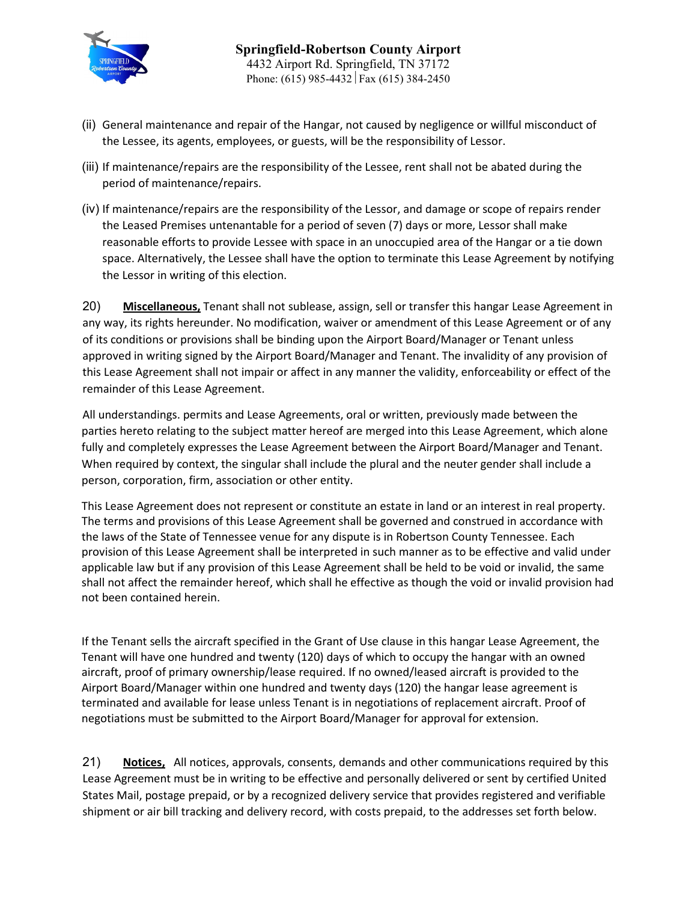

- (ii) General maintenance and repair of the Hangar, not caused by negligence or willful misconduct of the Lessee, its agents, employees, or guests, will be the responsibility of Lessor.
- (iii) If maintenance/repairs are the responsibility of the Lessee, rent shall not be abated during the period of maintenance/repairs.
- (iv) If maintenance/repairs are the responsibility of the Lessor, and damage or scope of repairs render the Leased Premises untenantable for a period of seven (7) days or more, Lessor shall make reasonable efforts to provide Lessee with space in an unoccupied area of the Hangar or a tie down space. Alternatively, the Lessee shall have the option to terminate this Lease Agreement by notifying the Lessor in writing of this election.

20) **Miscellaneous,** Tenant shall not sublease, assign, sell or transfer this hangar Lease Agreement in any way, its rights hereunder. No modification, waiver or amendment of this Lease Agreement or of any of its conditions or provisions shall be binding upon the Airport Board/Manager or Tenant unless approved in writing signed by the Airport Board/Manager and Tenant. The invalidity of any provision of this Lease Agreement shall not impair or affect in any manner the validity, enforceability or effect of the remainder of this Lease Agreement.

All understandings. permits and Lease Agreements, oral or written, previously made between the parties hereto relating to the subject matter hereof are merged into this Lease Agreement, which alone fully and completely expresses the Lease Agreement between the Airport Board/Manager and Tenant. When required by context, the singular shall include the plural and the neuter gender shall include a person, corporation, firm, association or other entity.

This Lease Agreement does not represent or constitute an estate in land or an interest in real property. The terms and provisions of this Lease Agreement shall be governed and construed in accordance with the laws of the State of Tennessee venue for any dispute is in Robertson County Tennessee. Each provision of this Lease Agreement shall be interpreted in such manner as to be effective and valid under applicable law but if any provision of this Lease Agreement shall be held to be void or invalid, the same shall not affect the remainder hereof, which shall he effective as though the void or invalid provision had not been contained herein.

If the Tenant sells the aircraft specified in the Grant of Use clause in this hangar Lease Agreement, the Tenant will have one hundred and twenty (120) days of which to occupy the hangar with an owned aircraft, proof of primary ownership/lease required. If no owned/leased aircraft is provided to the Airport Board/Manager within one hundred and twenty days (120) the hangar lease agreement is terminated and available for lease unless Tenant is in negotiations of replacement aircraft. Proof of negotiations must be submitted to the Airport Board/Manager for approval for extension.

21) **Notices,** All notices, approvals, consents, demands and other communications required by this Lease Agreement must be in writing to be effective and personally delivered or sent by certified United States Mail, postage prepaid, or by a recognized delivery service that provides registered and verifiable shipment or air bill tracking and delivery record, with costs prepaid, to the addresses set forth below.